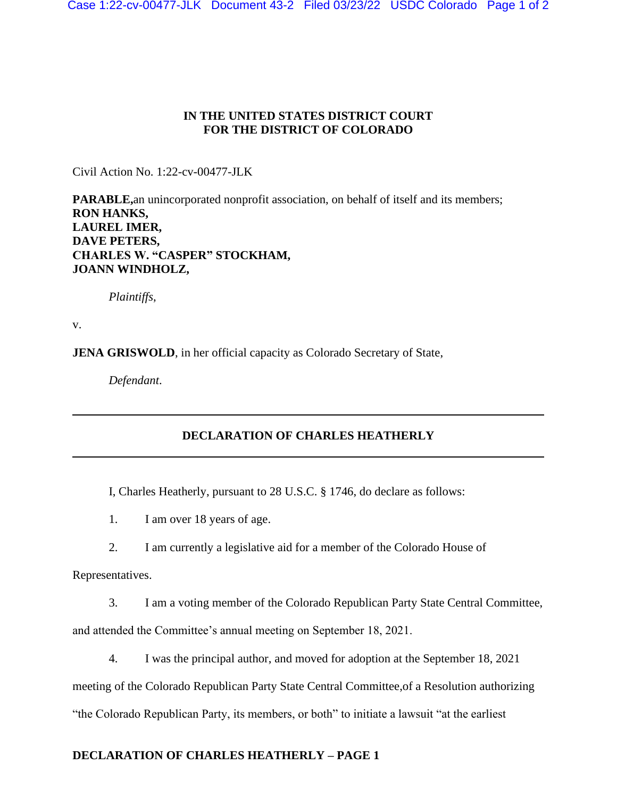## **IN THE UNITED STATES DISTRICT COURT FOR THE DISTRICT OF COLORADO**

Civil Action No. 1:22-cv-00477-JLK

**PARABLE,**an unincorporated nonprofit association, on behalf of itself and its members; **RON HANKS, LAUREL IMER, DAVE PETERS, CHARLES W. "CASPER" STOCKHAM, JOANN WINDHOLZ,**

*Plaintiffs*,

v.

**JENA GRISWOLD**, in her official capacity as Colorado Secretary of State,

*Defendant*.

## **DECLARATION OF CHARLES HEATHERLY**

I, Charles Heatherly, pursuant to 28 U.S.C. § 1746, do declare as follows:

1. I am over 18 years of age.

2. I am currently a legislative aid for a member of the Colorado House of

Representatives.

3. I am a voting member of the Colorado Republican Party State Central Committee,

and attended the Committee's annual meeting on September 18, 2021.

4. I was the principal author, and moved for adoption at the September 18, 2021

meeting of the Colorado Republican Party State Central Committee,of a Resolution authorizing

"the Colorado Republican Party, its members, or both" to initiate a lawsuit "at the earliest

## **DECLARATION OF CHARLES HEATHERLY – PAGE 1**